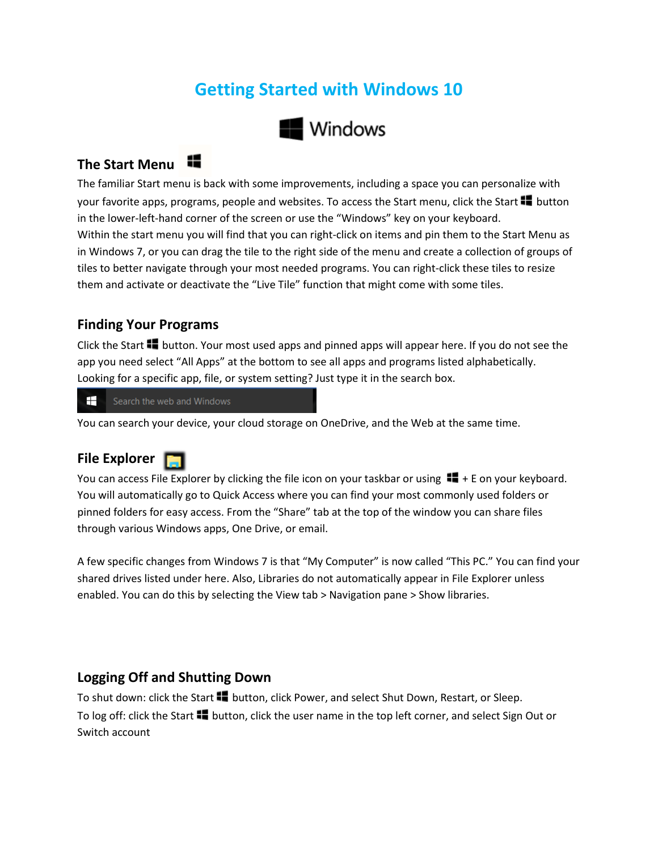# **Getting Started with Windows 10**



## **The Start Menu**

The familiar Start menu is back with some improvements, including a space you can personalize with your favorite apps, programs, people and websites. To access the Start menu, click the Start  $\blacksquare$  button in the lower-left-hand corner of the screen or use the "Windows" key on your keyboard. Within the start menu you will find that you can right-click on items and pin them to the Start Menu as in Windows 7, or you can drag the tile to the right side of the menu and create a collection of groups of tiles to better navigate through your most needed programs. You can right-click these tiles to resize them and activate or deactivate the "Live Tile" function that might come with some tiles.

#### **Finding Your Programs**

Click the Start  $\blacksquare$  button. Your most used apps and pinned apps will appear here. If you do not see the app you need select "All Apps" at the bottom to see all apps and programs listed alphabetically. Looking for a specific app, file, or system setting? Just type it in the search box.

H Search the web and Windows

You can search your device, your cloud storage on OneDrive, and the Web at the same time.

#### **File Explorer**

You can access File Explorer by clicking the file icon on your taskbar or using  $\blacksquare$  + E on your keyboard. You will automatically go to Quick Access where you can find your most commonly used folders or pinned folders for easy access. From the "Share" tab at the top of the window you can share files through various Windows apps, One Drive, or email.

A few specific changes from Windows 7 is that "My Computer" is now called "This PC." You can find your shared drives listed under here. Also, Libraries do not automatically appear in File Explorer unless enabled. You can do this by selecting the View tab > Navigation pane > Show libraries.

#### **Logging Off and Shutting Down**

To shut down: click the Start **button, click Power, and select Shut Down, Restart, or Sleep.** To log off: click the Start  $\blacksquare$  button, click the user name in the top left corner, and select Sign Out or Switch account